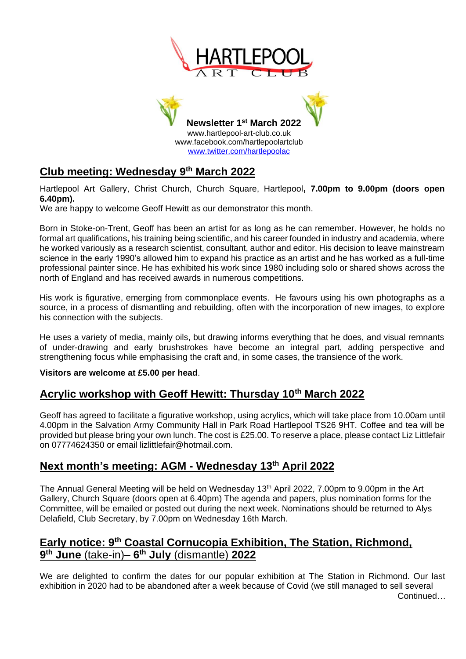



# **Club meeting: Wednesday 9 th March 2022**

Hartlepool Art Gallery, Christ Church, Church Square, Hartlepool**, 7.00pm to 9.00pm (doors open 6.40pm).**

We are happy to welcome Geoff Hewitt as our demonstrator this month.

Born in Stoke-on-Trent, Geoff has been an artist for as long as he can remember. However, he holds no formal art qualifications, his training being scientific, and his career founded in industry and academia, where he worked variously as a research scientist, consultant, author and editor. His decision to leave mainstream science in the early 1990's allowed him to expand his practice as an artist and he has worked as a full-time professional painter since. He has exhibited his work since 1980 including solo or shared shows across the north of England and has received awards in numerous competitions.

His work is figurative, emerging from commonplace events. He favours using his own photographs as a source, in a process of dismantling and rebuilding, often with the incorporation of new images, to explore his connection with the subjects.

He uses a variety of media, mainly oils, but drawing informs everything that he does, and visual remnants of under-drawing and early brushstrokes have become an integral part, adding perspective and strengthening focus while emphasising the craft and, in some cases, the transience of the work.

#### **Visitors are welcome at £5.00 per head**.

## **Acrylic workshop with Geoff Hewitt: Thursday 10th March 2022**

Geoff has agreed to facilitate a figurative workshop, using acrylics, which will take place from 10.00am until 4.00pm in the Salvation Army Community Hall in Park Road Hartlepool TS26 9HT. Coffee and tea will be provided but please bring your own lunch. The cost is £25.00. To reserve a place, please contact Liz Littlefair on 07774624350 or email lizlittlefair@hotmail.com.

## **Next month's meeting: AGM - Wednesday 13th April 2022**

The Annual General Meeting will be held on Wednesday 13<sup>th</sup> April 2022, 7.00pm to 9.00pm in the Art Gallery, Church Square (doors open at 6.40pm) The agenda and papers, plus nomination forms for the Committee, will be emailed or posted out during the next week. Nominations should be returned to Alys Delafield, Club Secretary, by 7.00pm on Wednesday 16th March.

### **Early notice: 9th Coastal Cornucopia Exhibition, The Station, Richmond, 9 th June** (take-in)**– 6 th July** (dismantle) **2022**

We are delighted to confirm the dates for our popular exhibition at The Station in Richmond. Our last exhibition in 2020 had to be abandoned after a week because of Covid (we still managed to sell several Continued…